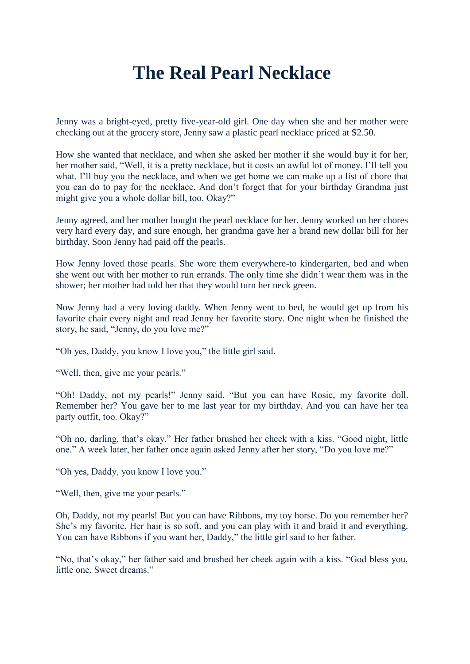## **The Real Pearl Necklace**

Jenny was a bright-eyed, pretty five-year-old girl. One day when she and her mother were checking out at the grocery store, Jenny saw a plastic pearl necklace priced at \$2.50.

How she wanted that necklace, and when she asked her mother if she would buy it for her, her mother said, "Well, it is a pretty necklace, but it costs an awful lot of money. I'll tell you what. I'll buy you the necklace, and when we get home we can make up a list of chore that you can do to pay for the necklace. And don't forget that for your birthday Grandma just might give you a whole dollar bill, too. Okay?"

Jenny agreed, and her mother bought the pearl necklace for her. Jenny worked on her chores very hard every day, and sure enough, her grandma gave her a brand new dollar bill for her birthday. Soon Jenny had paid off the pearls.

How Jenny loved those pearls. She wore them everywhere-to kindergarten, bed and when she went out with her mother to run errands. The only time she didn't wear them was in the shower; her mother had told her that they would turn her neck green.

Now Jenny had a very loving daddy. When Jenny went to bed, he would get up from his favorite chair every night and read Jenny her favorite story. One night when he finished the story, he said, "Jenny, do you love me?"

"Oh yes, Daddy, you know I love you," the little girl said.

"Well, then, give me your pearls."

"Oh! Daddy, not my pearls!" Jenny said. "But you can have Rosie, my favorite doll. Remember her? You gave her to me last year for my birthday. And you can have her tea party outfit, too. Okay?"

"Oh no, darling, that's okay." Her father brushed her cheek with a kiss. "Good night, little one." A week later, her father once again asked Jenny after her story, "Do you love me?"

"Oh yes, Daddy, you know I love you."

"Well, then, give me your pearls."

Oh, Daddy, not my pearls! But you can have Ribbons, my toy horse. Do you remember her? She's my favorite. Her hair is so soft, and you can play with it and braid it and everything. You can have Ribbons if you want her, Daddy," the little girl said to her father.

"No, that's okay," her father said and brushed her cheek again with a kiss. "God bless you, little one. Sweet dreams."